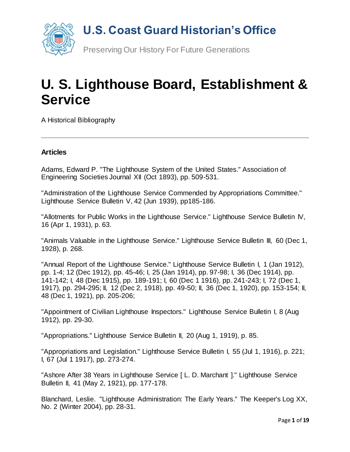

# **U. S. Lighthouse Board, Establishment & Service**

A Historical Bibliography

#### **Articles**

Adams, Edward P. "The Lighthouse System of the United States." Association of Engineering Societies Journal XII (Oct 1893), pp. 509-531.

"Administration of the Lighthouse Service Commended by Appropriations Committee." Lighthouse Service Bulletin V, 42 (Jun 1939), pp185-186.

"Allotments for Public Works in the Lighthouse Service." Lighthouse Service Bulletin IV, 16 (Apr 1, 1931), p. 63.

"Animals Valuable in the Lighthouse Service." Lighthouse Service Bulletin III, 60 (Dec 1, 1928), p. 268.

"Annual Report of the Lighthouse Service." Lighthouse Service Bulletin I, 1 (Jan 1912), pp. 1-4; 12 (Dec 1912), pp. 45-46; I, 25 (Jan 1914), pp. 97-98; I, 36 (Dec 1914), pp. 141-142; I, 48 (Dec 1915), pp. 189-191; I, 60 (Dec 1 1916), pp. 241-243; I, 72 (Dec 1, 1917), pp. 294-295; II, 12 (Dec 2, 1918), pp. 49-50; II, 36 (Dec 1, 1920), pp. 153-154; II, 48 (Dec 1, 1921), pp. 205-206;

"Appointment of Civilian Lighthouse Inspectors." Lighthouse Service Bulletin I, 8 (Aug 1912), pp. 29-30.

"Appropriations." Lighthouse Service Bulletin II, 20 (Aug 1, 1919), p. 85.

"Appropriations and Legislation." Lighthouse Service Bulletin I, 55 (Jul 1, 1916), p. 221; I, 67 (Jul 1 1917), pp. 273-274.

"Ashore After 38 Years in Lighthouse Service [ L. D. Marchant ]." Lighthouse Service Bulletin II, 41 (May 2, 1921), pp. 177-178.

Blanchard, Leslie. "Lighthouse Administration: The Early Years." The Keeper's Log XX, No. 2 (Winter 2004), pp. 28-31.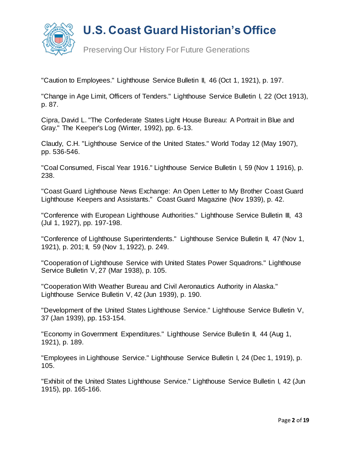

Preserving Our History For Future Generations

"Caution to Employees." Lighthouse Service Bulletin II, 46 (Oct 1, 1921), p. 197.

"Change in Age Limit, Officers of Tenders." Lighthouse Service Bulletin I, 22 (Oct 1913), p. 87.

Cipra, David L. "The Confederate States Light House Bureau: A Portrait in Blue and Gray." The Keeper's Log (Winter, 1992), pp. 6-13.

Claudy, C.H. "Lighthouse Service of the United States." World Today 12 (May 1907), pp. 536-546.

"Coal Consumed, Fiscal Year 1916." Lighthouse Service Bulletin I, 59 (Nov 1 1916), p. 238.

"Coast Guard Lighthouse News Exchange: An Open Letter to My Brother Coast Guard Lighthouse Keepers and Assistants." Coast Guard Magazine (Nov 1939), p. 42.

"Conference with European Lighthouse Authorities." Lighthouse Service Bulletin III, 43 (Jul 1, 1927), pp. 197-198.

"Conference of Lighthouse Superintendents." Lighthouse Service Bulletin II, 47 (Nov 1, 1921), p. 201; II, 59 (Nov 1, 1922), p. 249.

"Cooperation of Lighthouse Service with United States Power Squadrons." Lighthouse Service Bulletin V, 27 (Mar 1938), p. 105.

"Cooperation With Weather Bureau and Civil Aeronautics Authority in Alaska." Lighthouse Service Bulletin V, 42 (Jun 1939), p. 190.

"Development of the United States Lighthouse Service." Lighthouse Service Bulletin V, 37 (Jan 1939), pp. 153-154.

"Economy in Government Expenditures." Lighthouse Service Bulletin II, 44 (Aug 1, 1921), p. 189.

"Employees in Lighthouse Service." Lighthouse Service Bulletin I, 24 (Dec 1, 1919), p. 105.

"Exhibit of the United States Lighthouse Service." Lighthouse Service Bulletin I, 42 (Jun 1915), pp. 165-166.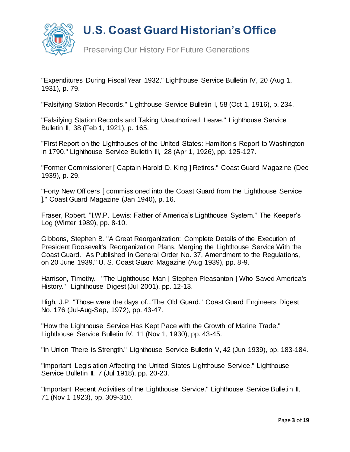

Preserving Our History For Future Generations

"Expenditures During Fiscal Year 1932." Lighthouse Service Bulletin IV, 20 (Aug 1, 1931), p. 79.

"Falsifying Station Records." Lighthouse Service Bulletin I, 58 (Oct 1, 1916), p. 234.

"Falsifying Station Records and Taking Unauthorized Leave." Lighthouse Service Bulletin II, 38 (Feb 1, 1921), p. 165.

"First Report on the Lighthouses of the United States: Hamilton's Report to Washington in 1790." Lighthouse Service Bulletin III, 28 (Apr 1, 1926), pp. 125-127.

"Former Commissioner [ Captain Harold D. King ] Retires." Coast Guard Magazine (Dec 1939), p. 29.

"Forty New Officers [ commissioned into the Coast Guard from the Lighthouse Service ]." Coast Guard Magazine (Jan 1940), p. 16.

Fraser, Robert. "I.W.P. Lewis: Father of America's Lighthouse System." The Keeper's Log (Winter 1989), pp. 8-10.

Gibbons, Stephen B. "A Great Reorganization: Complete Details of the Execution of President Roosevelt's Reorganization Plans, Merging the Lighthouse Service With the Coast Guard. As Published in General Order No. 37, Amendment to the Regulations, on 20 June 1939." U. S. Coast Guard Magazine (Aug 1939), pp. 8-9.

Harrison, Timothy. "The Lighthouse Man [ Stephen Pleasanton ] Who Saved America's History." Lighthouse Digest (Jul 2001), pp. 12-13.

High, J.P. "Those were the days of...'The Old Guard." Coast Guard Engineers Digest No. 176 (Jul-Aug-Sep, 1972), pp. 43-47.

"How the Lighthouse Service Has Kept Pace with the Growth of Marine Trade." Lighthouse Service Bulletin IV, 11 (Nov 1, 1930), pp. 43-45.

"In Union There is Strength." Lighthouse Service Bulletin V, 42 (Jun 1939), pp. 183-184.

"Important Legislation Affecting the United States Lighthouse Service." Lighthouse Service Bulletin II, 7 (Jul 1918), pp. 20-23.

"Important Recent Activities of the Lighthouse Service." Lighthouse Service Bulletin II, 71 (Nov 1 1923), pp. 309-310.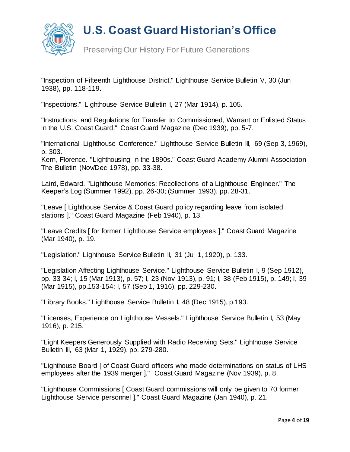

Preserving Our History For Future Generations

"Inspection of Fifteenth Lighthouse District." Lighthouse Service Bulletin V, 30 (Jun 1938), pp. 118-119.

"Inspections." Lighthouse Service Bulletin I, 27 (Mar 1914), p. 105.

"Instructions and Regulations for Transfer to Commissioned, Warrant or Enlisted Status in the U.S. Coast Guard." Coast Guard Magazine (Dec 1939), pp. 5-7.

"International Lighthouse Conference." Lighthouse Service Bulletin III, 69 (Sep 3, 1969), p. 303.

Kern, Florence. "Lighthousing in the 1890s." Coast Guard Academy Alumni Association The Bulletin (Nov/Dec 1978), pp. 33-38.

Laird, Edward. "Lighthouse Memories: Recollections of a Lighthouse Engineer." The Keeper's Log (Summer 1992), pp. 26-30; (Summer 1993), pp. 28-31.

"Leave [ Lighthouse Service & Coast Guard policy regarding leave from isolated stations ]." Coast Guard Magazine (Feb 1940), p. 13.

"Leave Credits [ for former Lighthouse Service employees ]." Coast Guard Magazine (Mar 1940), p. 19.

"Legislation." Lighthouse Service Bulletin II, 31 (Jul 1, 1920), p. 133.

"Legislation Affecting Lighthouse Service." Lighthouse Service Bulletin I, 9 (Sep 1912), pp. 33-34; I, 15 (Mar 1913), p. 57; I, 23 (Nov 1913), p. 91; I, 38 (Feb 1915), p. 149; I, 39 (Mar 1915), pp.153-154; I, 57 (Sep 1, 1916), pp. 229-230.

"Library Books." Lighthouse Service Bulletin I, 48 (Dec 1915), p.193.

"Licenses, Experience on Lighthouse Vessels." Lighthouse Service Bulletin I, 53 (May 1916), p. 215.

"Light Keepers Generously Supplied with Radio Receiving Sets." Lighthouse Service Bulletin III, 63 (Mar 1, 1929), pp. 279-280.

"Lighthouse Board [ of Coast Guard officers who made determinations on status of LHS employees after the 1939 merger ]." Coast Guard Magazine (Nov 1939), p. 8.

"Lighthouse Commissions [ Coast Guard commissions will only be given to 70 former Lighthouse Service personnel ]." Coast Guard Magazine (Jan 1940), p. 21.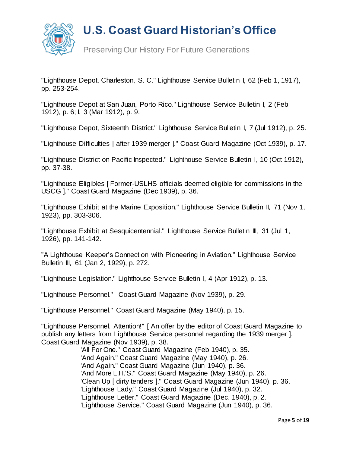

Preserving Our History For Future Generations

"Lighthouse Depot, Charleston, S. C." Lighthouse Service Bulletin I, 62 (Feb 1, 1917), pp. 253-254.

"Lighthouse Depot at San Juan, Porto Rico." Lighthouse Service Bulletin I, 2 (Feb 1912), p. 6; I, 3 (Mar 1912), p. 9.

"Lighthouse Depot, Sixteenth District." Lighthouse Service Bulletin I, 7 (Jul 1912), p. 25.

"Lighthouse Difficulties [ after 1939 merger ]." Coast Guard Magazine (Oct 1939), p. 17.

"Lighthouse District on Pacific Inspected." Lighthouse Service Bulletin I, 10 (Oct 1912), pp. 37-38.

"Lighthouse Eligibles [ Former-USLHS officials deemed eligible for commissions in the USCG ]." Coast Guard Magazine (Dec 1939), p. 36.

"Lighthouse Exhibit at the Marine Exposition." Lighthouse Service Bulletin II, 71 (Nov 1, 1923), pp. 303-306.

"Lighthouse Exhibit at Sesquicentennial." Lighthouse Service Bulletin III, 31 (Jul 1, 1926), pp. 141-142.

"A Lighthouse Keeper's Connection with Pioneering in Aviation." Lighthouse Service Bulletin III, 61 (Jan 2, 1929), p. 272.

"Lighthouse Legislation." Lighthouse Service Bulletin I, 4 (Apr 1912), p. 13.

"Lighthouse Personnel." Coast Guard Magazine (Nov 1939), p. 29.

"Lighthouse Personnel." Coast Guard Magazine (May 1940), p. 15.

"Lighthouse Personnel, Attention!" [ An offer by the editor of Coast Guard Magazine to publish any letters from Lighthouse Service personnel regarding the 1939 merger ]. Coast Guard Magazine (Nov 1939), p. 38.

> "All For One." Coast Guard Magazine (Feb 1940), p. 35. "And Again." Coast Guard Magazine (May 1940), p. 26. "And Again." Coast Guard Magazine (Jun 1940), p. 36. "And More L.H.'S." Coast Guard Magazine (May 1940), p. 26. "Clean Up [ dirty tenders ]." Coast Guard Magazine (Jun 1940), p. 36. "Lighthouse Lady." Coast Guard Magazine (Jul 1940), p. 32. "Lighthouse Letter." Coast Guard Magazine (Dec. 1940), p. 2. "Lighthouse Service." Coast Guard Magazine (Jun 1940), p. 36.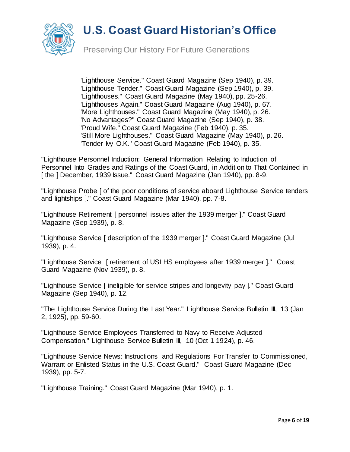

Preserving Our History For Future Generations

 "Lighthouse Service." Coast Guard Magazine (Sep 1940), p. 39. "Lighthouse Tender." Coast Guard Magazine (Sep 1940), p. 39. "Lighthouses." Coast Guard Magazine (May 1940), pp. 25-26. "Lighthouses Again." Coast Guard Magazine (Aug 1940), p. 67. "More Lighthouses." Coast Guard Magazine (May 1940), p. 26. "No Advantages?" Coast Guard Magazine (Sep 1940), p. 38. "Proud Wife." Coast Guard Magazine (Feb 1940), p. 35. "Still More Lighthouses." Coast Guard Magazine (May 1940), p. 26. "Tender My O.K." Coast Guard Magazine (Feb 1940), p. 35.

"Lighthouse Personnel Induction: General Information Relating to Induction of Personnel Into Grades and Ratings of the Coast Guard, in Addition to That Contained in [the ] December, 1939 Issue." Coast Guard Magazine (Jan 1940), pp. 8-9.

"Lighthouse Probe [ of the poor conditions of service aboard Lighthouse Service tenders and lightships ]." Coast Guard Magazine (Mar 1940), pp. 7-8.

"Lighthouse Retirement [ personnel issues after the 1939 merger ]." Coast Guard Magazine (Sep 1939), p. 8.

"Lighthouse Service [ description of the 1939 merger ]." Coast Guard Magazine (Jul 1939), p. 4.

"Lighthouse Service [ retirement of USLHS employees after 1939 merger ]." Coast Guard Magazine (Nov 1939), p. 8.

"Lighthouse Service [ ineligible for service stripes and longevity pay ]." Coast Guard Magazine (Sep 1940), p. 12.

"The Lighthouse Service During the Last Year." Lighthouse Service Bulletin III, 13 (Jan 2, 1925), pp. 59-60.

"Lighthouse Service Employees Transferred to Navy to Receive Adjusted Compensation." Lighthouse Service Bulletin III, 10 (Oct 1 1924), p. 46.

"Lighthouse Service News: Instructions and Regulations For Transfer to Commissioned, Warrant or Enlisted Status in the U.S. Coast Guard." Coast Guard Magazine (Dec 1939), pp. 5-7.

"Lighthouse Training." Coast Guard Magazine (Mar 1940), p. 1.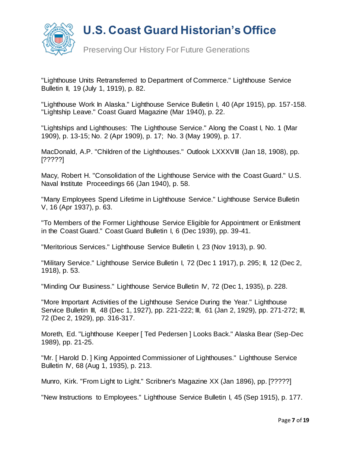

Preserving Our History For Future Generations

"Lighthouse Units Retransferred to Department of Commerce." Lighthouse Service Bulletin II, 19 (July 1, 1919), p. 82.

"Lighthouse Work In Alaska." Lighthouse Service Bulletin I, 40 (Apr 1915), pp. 157-158. "Lightship Leave." Coast Guard Magazine (Mar 1940), p. 22.

"Lightships and Lighthouses: The Lighthouse Service." Along the Coast I, No. 1 (Mar 1909), p. 13-15; No. 2 (Apr 1909), p. 17; No. 3 (May 1909), p. 17.

MacDonald, A.P. "Children of the Lighthouses." Outlook LXXXVIII (Jan 18, 1908), pp. [?????]

Macy, Robert H. "Consolidation of the Lighthouse Service with the Coast Guard." U.S. Naval Institute Proceedings 66 (Jan 1940), p. 58.

"Many Employees Spend Lifetime in Lighthouse Service." Lighthouse Service Bulletin V, 16 (Apr 1937), p. 63.

"To Members of the Former Lighthouse Service Eligible for Appointment or Enlistment in the Coast Guard." Coast Guard Bulletin I, 6 (Dec 1939), pp. 39-41.

"Meritorious Services." Lighthouse Service Bulletin I, 23 (Nov 1913), p. 90.

"Military Service." Lighthouse Service Bulletin I, 72 (Dec 1 1917), p. 295; II, 12 (Dec 2, 1918), p. 53.

"Minding Our Business." Lighthouse Service Bulletin IV, 72 (Dec 1, 1935), p. 228.

"More Important Activities of the Lighthouse Service During the Year." Lighthouse Service Bulletin III, 48 (Dec 1, 1927), pp. 221-222; III, 61 (Jan 2, 1929), pp. 271-272; III, 72 (Dec 2, 1929), pp. 316-317.

Moreth, Ed. "Lighthouse Keeper [ Ted Pedersen ] Looks Back." Alaska Bear (Sep-Dec 1989), pp. 21-25.

"Mr. [ Harold D. ] King Appointed Commissioner of Lighthouses." Lighthouse Service Bulletin IV, 68 (Aug 1, 1935), p. 213.

Munro, Kirk. "From Light to Light." Scribner's Magazine XX (Jan 1896), pp. [?????]

"New Instructions to Employees." Lighthouse Service Bulletin I, 45 (Sep 1915), p. 177.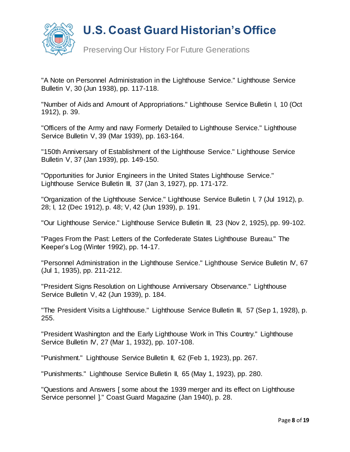

Preserving Our History For Future Generations

"A Note on Personnel Administration in the Lighthouse Service." Lighthouse Service Bulletin V, 30 (Jun 1938), pp. 117-118.

"Number of Aids and Amount of Appropriations." Lighthouse Service Bulletin I, 10 (Oct 1912), p. 39.

"Officers of the Army and navy Formerly Detailed to Lighthouse Service." Lighthouse Service Bulletin V, 39 (Mar 1939), pp. 163-164.

"150th Anniversary of Establishment of the Lighthouse Service." Lighthouse Service Bulletin V, 37 (Jan 1939), pp. 149-150.

"Opportunities for Junior Engineers in the United States Lighthouse Service." Lighthouse Service Bulletin III, 37 (Jan 3, 1927), pp. 171-172.

"Organization of the Lighthouse Service." Lighthouse Service Bulletin I, 7 (Jul 1912), p. 28; I, 12 (Dec 1912), p. 48; V, 42 (Jun 1939), p. 191.

"Our Lighthouse Service." Lighthouse Service Bulletin III, 23 (Nov 2, 1925), pp. 99-102.

"Pages From the Past: Letters of the Confederate States Lighthouse Bureau." The Keeper's Log (Winter 1992), pp. 14-17.

"Personnel Administration in the Lighthouse Service." Lighthouse Service Bulletin IV, 67 (Jul 1, 1935), pp. 211-212.

"President Signs Resolution on Lighthouse Anniversary Observance." Lighthouse Service Bulletin V, 42 (Jun 1939), p. 184.

"The President Visits a Lighthouse." Lighthouse Service Bulletin III, 57 (Sep 1, 1928), p. 255.

"President Washington and the Early Lighthouse Work in This Country." Lighthouse Service Bulletin IV, 27 (Mar 1, 1932), pp. 107-108.

"Punishment." Lighthouse Service Bulletin II, 62 (Feb 1, 1923), pp. 267.

"Punishments." Lighthouse Service Bulletin II, 65 (May 1, 1923), pp. 280.

"Questions and Answers [ some about the 1939 merger and its effect on Lighthouse Service personnel ]." Coast Guard Magazine (Jan 1940), p. 28.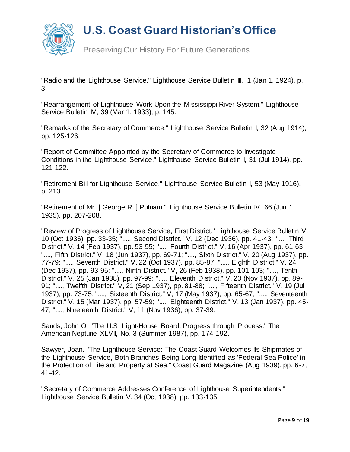

Preserving Our History For Future Generations

"Radio and the Lighthouse Service." Lighthouse Service Bulletin III, 1 (Jan 1, 1924), p. 3.

"Rearrangement of Lighthouse Work Upon the Mississippi River System." Lighthouse Service Bulletin IV, 39 (Mar 1, 1933), p. 145.

"Remarks of the Secretary of Commerce." Lighthouse Service Bulletin I, 32 (Aug 1914), pp. 125-126.

"Report of Committee Appointed by the Secretary of Commerce to Investigate Conditions in the Lighthouse Service." Lighthouse Service Bulletin I, 31 (Jul 1914), pp. 121-122.

"Retirement Bill for Lighthouse Service." Lighthouse Service Bulletin I, 53 (May 1916), p. 213.

"Retirement of Mr. [ George R. ] Putnam." Lighthouse Service Bulletin IV, 66 (Jun 1, 1935), pp. 207-208.

"Review of Progress of Lighthouse Service, First District." Lighthouse Service Bulletin V, 10 (Oct 1936), pp. 33-35; "...., Second District." V, 12 (Dec 1936), pp. 41-43; "...., Third District." V, 14 (Feb 1937), pp. 53-55; "...., Fourth District." V, 16 (Apr 1937), pp. 61-63; "...., Fifth District." V, 18 (Jun 1937), pp. 69-71; "...., Sixth District." V, 20 (Aug 1937), pp. 77-79; "...., Seventh District." V, 22 (Oct 1937), pp. 85-87; "...., Eighth District." V, 24 (Dec 1937), pp. 93-95; "...., Ninth District." V, 26 (Feb 1938), pp. 101-103; "...., Tenth District." V, 25 (Jan 1938), pp. 97-99; "...., Eleventh District." V, 23 (Nov 1937), pp. 89- 91; "...., Twelfth District." V, 21 (Sep 1937), pp. 81-88; "...., Fifteenth District." V, 19 (Jul 1937), pp. 73-75; "...., Sixteenth District." V, 17 (May 1937), pp. 65-67; "...., Seventeenth District." V, 15 (Mar 1937), pp. 57-59; "...., Eighteenth District." V, 13 (Jan 1937), pp. 45- 47; "...., Nineteenth District." V, 11 (Nov 1936), pp. 37-39.

Sands, John O. "The U.S. Light-House Board: Progress through Process." The American Neptune XLVII, No. 3 (Summer 1987), pp. 174-192.

Sawyer, Joan. "The Lighthouse Service: The Coast Guard Welcomes Its Shipmates of the Lighthouse Service, Both Branches Being Long Identified as 'Federal Sea Police' in the Protection of Life and Property at Sea." Coast Guard Magazine (Aug 1939), pp. 6-7, 41-42.

"Secretary of Commerce Addresses Conference of Lighthouse Superintendents." Lighthouse Service Bulletin V, 34 (Oct 1938), pp. 133-135.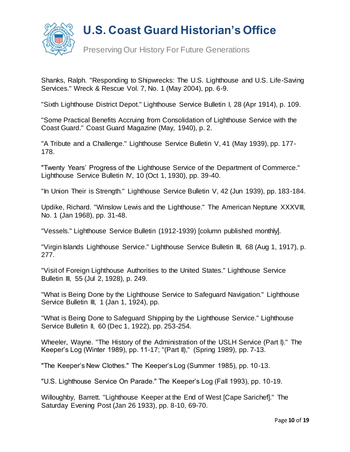

Preserving Our History For Future Generations

Shanks, Ralph. "Responding to Shipwrecks: The U.S. Lighthouse and U.S. Life-Saving Services." Wreck & Rescue Vol. 7, No. 1 (May 2004), pp. 6-9.

"Sixth Lighthouse District Depot." Lighthouse Service Bulletin I, 28 (Apr 1914), p. 109.

"Some Practical Benefits Accruing from Consolidation of Lighthouse Service with the Coast Guard." Coast Guard Magazine (May, 1940), p. 2.

"A Tribute and a Challenge." Lighthouse Service Bulletin V, 41 (May 1939), pp. 177- 178.

"Twenty Years' Progress of the Lighthouse Service of the Department of Commerce." Lighthouse Service Bulletin IV, 10 (Oct 1, 1930), pp. 39-40.

"In Union Their is Strength." Lighthouse Service Bulletin V, 42 (Jun 1939), pp. 183-184.

Updike, Richard. "Winslow Lewis and the Lighthouse." The American Neptune XXXVIII, No. 1 (Jan 1968), pp. 31-48.

"Vessels." Lighthouse Service Bulletin (1912-1939) [column published monthly].

"Virgin Islands Lighthouse Service." Lighthouse Service Bulletin III, 68 (Aug 1, 1917), p. 277.

"Visit of Foreign Lighthouse Authorities to the United States." Lighthouse Service Bulletin III, 55 (Jul 2, 1928), p. 249.

"What is Being Done by the Lighthouse Service to Safeguard Navigation." Lighthouse Service Bulletin III, 1 (Jan 1, 1924), pp.

"What is Being Done to Safeguard Shipping by the Lighthouse Service." Lighthouse Service Bulletin II, 60 (Dec 1, 1922), pp. 253-254.

Wheeler, Wayne. "The History of the Administration of the USLH Service (Part I)." The Keeper's Log (Winter 1989), pp. 11-17; "(Part II)," (Spring 1989), pp. 7-13.

"The Keeper's New Clothes." The Keeper's Log (Summer 1985), pp. 10-13.

"U.S. Lighthouse Service On Parade." The Keeper's Log (Fall 1993), pp. 10-19.

Willoughby, Barrett. "Lighthouse Keeper at the End of West [Cape Sarichef]." The Saturday Evening Post (Jan 26 1933), pp. 8-10, 69-70.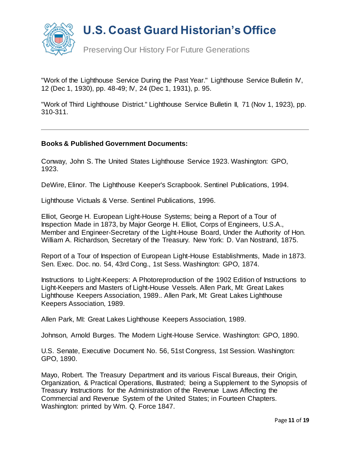

"Work of the Lighthouse Service During the Past Year." Lighthouse Service Bulletin IV, 12 (Dec 1, 1930), pp. 48-49; IV, 24 (Dec 1, 1931), p. 95.

"Work of Third Lighthouse District." Lighthouse Service Bulletin II, 71 (Nov 1, 1923), pp. 310-311.

#### **Books & Published Government Documents:**

Conway, John S. The United States Lighthouse Service 1923. Washington: GPO, 1923.

DeWire, Elinor. The Lighthouse Keeper's Scrapbook. Sentinel Publications, 1994.

Lighthouse Victuals & Verse. Sentinel Publications, 1996.

Elliot, George H. European Light-House Systems; being a Report of a Tour of Inspection Made in 1873, by Major George H. Elliot, Corps of Engineers, U.S.A., Member and Engineer-Secretary of the Light-House Board, Under the Authority of Hon. William A. Richardson, Secretary of the Treasury. New York: D. Van Nostrand, 1875.

Report of a Tour of Inspection of European Light-House Establishments, Made in 1873. Sen. Exec. Doc. no. 54, 43rd Cong., 1st Sess. Washington: GPO, 1874.

Instructions to Light-Keepers: A Photoreproduction of the 1902 Edition of Instructions to Light-Keepers and Masters of Light-House Vessels. Allen Park, MI: Great Lakes Lighthouse Keepers Association, 1989.. Allen Park, MI: Great Lakes Lighthouse Keepers Association, 1989.

Allen Park, MI: Great Lakes Lighthouse Keepers Association, 1989.

Johnson, Arnold Burges. The Modern Light-House Service. Washington: GPO, 1890.

U.S. Senate, Executive Document No. 56, 51st Congress, 1st Session. Washington: GPO, 1890.

Mayo, Robert. The Treasury Department and its various Fiscal Bureaus, their Origin, Organization, & Practical Operations, Illustrated; being a Supplement to the Synopsis of Treasury Instructions for the Administration of the Revenue Laws Affecting the Commercial and Revenue System of the United States; in Fourteen Chapters. Washington: printed by Wm. Q. Force 1847.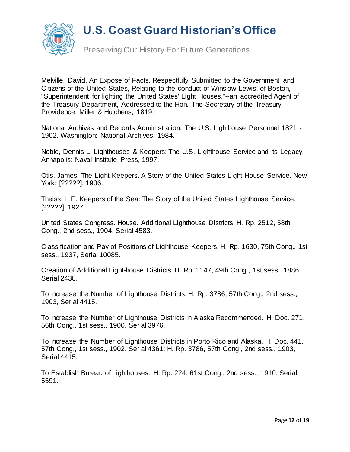

Preserving Our History For Future Generations

Melville, David. An Expose of Facts, Respectfully Submitted to the Government and Citizens of the United States, Relating to the conduct of Winslow Lewis, of Boston, "Superintendent for lighting the United States' Light Houses,"--an accredited Agent of the Treasury Department, Addressed to the Hon. The Secretary of the Treasury. Providence: Miller & Hutchens, 1819.

National Archives and Records Administration. The U.S. Lighthouse Personnel 1821 - 1902. Washington: National Archives, 1984.

Noble, Dennis L. Lighthouses & Keepers: The U.S. Lighthouse Service and Its Legacy. Annapolis: Naval Institute Press, 1997.

Otis, James. The Light Keepers. A Story of the United States Light-House Service. New York: [?????], 1906.

Theiss, L.E. Keepers of the Sea: The Story of the United States Lighthouse Service. [?????], 1927.

United States Congress. House. Additional Lighthouse Districts. H. Rp. 2512, 58th Cong., 2nd sess., 1904, Serial 4583.

Classification and Pay of Positions of Lighthouse Keepers. H. Rp. 1630, 75th Cong., 1st sess., 1937, Serial 10085.

Creation of Additional Light-house Districts. H. Rp. 1147, 49th Cong., 1st sess., 1886, Serial 2438.

To Increase the Number of Lighthouse Districts. H. Rp. 3786, 57th Cong., 2nd sess., 1903, Serial 4415.

To Increase the Number of Lighthouse Districts in Alaska Recommended. H. Doc. 271, 56th Cong., 1st sess., 1900, Serial 3976.

To Increase the Number of Lighthouse Districts in Porto Rico and Alaska. H. Doc. 441, 57th Cong., 1st sess., 1902, Serial 4361; H. Rp. 3786, 57th Cong., 2nd sess., 1903, Serial 4415.

To Establish Bureau of Lighthouses. H. Rp. 224, 61st Cong., 2nd sess., 1910, Serial 5591.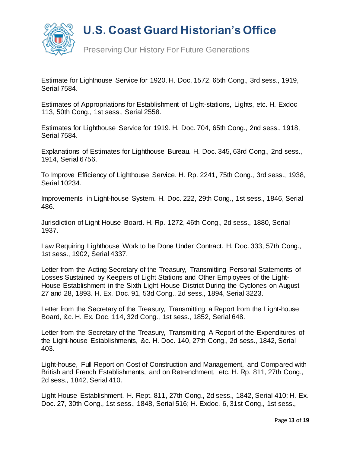

Preserving Our History For Future Generations

Estimate for Lighthouse Service for 1920. H. Doc. 1572, 65th Cong., 3rd sess., 1919, Serial 7584.

Estimates of Appropriations for Establishment of Light-stations, Lights, etc. H. Exdoc 113, 50th Cong., 1st sess., Serial 2558.

Estimates for Lighthouse Service for 1919. H. Doc. 704, 65th Cong., 2nd sess., 1918, Serial 7584.

Explanations of Estimates for Lighthouse Bureau. H. Doc. 345, 63rd Cong., 2nd sess., 1914, Serial 6756.

To Improve Efficiency of Lighthouse Service. H. Rp. 2241, 75th Cong., 3rd sess., 1938, Serial 10234.

Improvements in Light-house System. H. Doc. 222, 29th Cong., 1st sess., 1846, Serial 486.

Jurisdiction of Light-House Board. H. Rp. 1272, 46th Cong., 2d sess., 1880, Serial 1937.

Law Requiring Lighthouse Work to be Done Under Contract. H. Doc. 333, 57th Cong., 1st sess., 1902, Serial 4337.

Letter from the Acting Secretary of the Treasury, Transmitting Personal Statements of Losses Sustained by Keepers of Light Stations and Other Employees of the Light-House Establishment in the Sixth Light-House District During the Cyclones on August 27 and 28, 1893. H. Ex. Doc. 91, 53d Cong., 2d sess., 1894, Serial 3223.

Letter from the Secretary of the Treasury, Transmitting a Report from the Light-house Board, &c. H. Ex. Doc. 114, 32d Cong., 1st sess., 1852, Serial 648.

Letter from the Secretary of the Treasury, Transmitting A Report of the Expenditures of the Light-house Establishments, &c. H. Doc. 140, 27th Cong., 2d sess., 1842, Serial 403.

Light-house, Full Report on Cost of Construction and Management, and Compared with British and French Establishments, and on Retrenchment, etc. H. Rp. 811, 27th Cong., 2d sess., 1842, Serial 410.

Light-House Establishment. H. Rept. 811, 27th Cong., 2d sess., 1842, Serial 410; H. Ex. Doc. 27, 30th Cong., 1st sess., 1848, Serial 516; H. Exdoc. 6, 31st Cong., 1st sess.,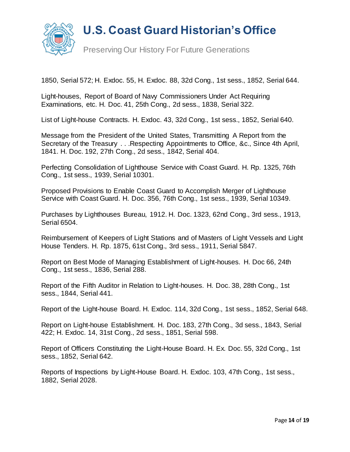

1850, Serial 572; H. Exdoc. 55, H. Exdoc. 88, 32d Cong., 1st sess., 1852, Serial 644.

Light-houses, Report of Board of Navy Commissioners Under Act Requiring Examinations, etc. H. Doc. 41, 25th Cong., 2d sess., 1838, Serial 322.

List of Light-house Contracts. H. Exdoc. 43, 32d Cong., 1st sess., 1852, Serial 640.

Message from the President of the United States, Transmitting A Report from the Secretary of the Treasury . . . Respecting Appointments to Office, &c., Since 4th April, 1841. H. Doc. 192, 27th Cong., 2d sess., 1842, Serial 404.

Perfecting Consolidation of Lighthouse Service with Coast Guard. H. Rp. 1325, 76th Cong., 1st sess., 1939, Serial 10301.

Proposed Provisions to Enable Coast Guard to Accomplish Merger of Lighthouse Service with Coast Guard. H. Doc. 356, 76th Cong., 1st sess., 1939, Serial 10349.

Purchases by Lighthouses Bureau, 1912. H. Doc. 1323, 62nd Cong., 3rd sess., 1913, Serial 6504.

Reimbursement of Keepers of Light Stations and of Masters of Light Vessels and Light House Tenders. H. Rp. 1875, 61st Cong., 3rd sess., 1911, Serial 5847.

Report on Best Mode of Managing Establishment of Light-houses. H. Doc 66, 24th Cong., 1st sess., 1836, Serial 288.

Report of the Fifth Auditor in Relation to Light-houses. H. Doc. 38, 28th Cong., 1st sess., 1844, Serial 441.

Report of the Light-house Board. H. Exdoc. 114, 32d Cong., 1st sess., 1852, Serial 648.

Report on Light-house Establishment. H. Doc. 183, 27th Cong., 3d sess., 1843, Serial 422; H. Exdoc. 14, 31st Cong., 2d sess., 1851, Serial 598.

Report of Officers Constituting the Light-House Board. H. Ex. Doc. 55, 32d Cong., 1st sess., 1852, Serial 642.

Reports of Inspections by Light-House Board. H. Exdoc. 103, 47th Cong., 1st sess., 1882, Serial 2028.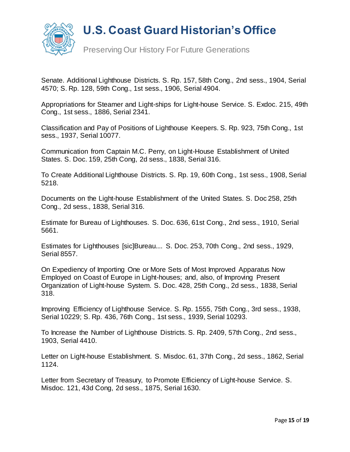

Senate. Additional Lighthouse Districts. S. Rp. 157, 58th Cong., 2nd sess., 1904, Serial 4570; S. Rp. 128, 59th Cong., 1st sess., 1906, Serial 4904.

Appropriations for Steamer and Light-ships for Light-house Service. S. Exdoc. 215, 49th Cong., 1st sess., 1886, Serial 2341.

Classification and Pay of Positions of Lighthouse Keepers. S. Rp. 923, 75th Cong., 1st sess., 1937, Serial 10077.

Communication from Captain M.C. Perry, on Light-House Establishment of United States. S. Doc. 159, 25th Cong, 2d sess., 1838, Serial 316.

To Create Additional Lighthouse Districts. S. Rp. 19, 60th Cong., 1st sess., 1908, Serial 5218.

Documents on the Light-house Establishment of the United States. S. Doc 258, 25th Cong., 2d sess., 1838, Serial 316.

Estimate for Bureau of Lighthouses. S. Doc. 636, 61st Cong., 2nd sess., 1910, Serial 5661.

Estimates for Lighthouses [sic]Bureau.... S. Doc. 253, 70th Cong., 2nd sess., 1929, Serial 8557.

On Expediency of Importing One or More Sets of Most Improved Apparatus Now Employed on Coast of Europe in Light-houses; and, also, of Improving Present Organization of Light-house System. S. Doc. 428, 25th Cong., 2d sess., 1838, Serial 318.

Improving Efficiency of Lighthouse Service. S. Rp. 1555, 75th Cong., 3rd sess., 1938, Serial 10229; S. Rp. 436, 76th Cong., 1st sess., 1939, Serial 10293.

To Increase the Number of Lighthouse Districts. S. Rp. 2409, 57th Cong., 2nd sess., 1903, Serial 4410.

Letter on Light-house Establishment. S. Misdoc. 61, 37th Cong., 2d sess., 1862, Serial 1124.

Letter from Secretary of Treasury, to Promote Efficiency of Light-house Service. S. Misdoc. 121, 43d Cong, 2d sess., 1875, Serial 1630.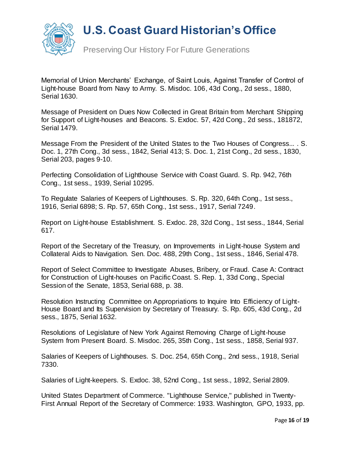

Preserving Our History For Future Generations

Memorial of Union Merchants' Exchange, of Saint Louis, Against Transfer of Control of Light-house Board from Navy to Army. S. Misdoc. 106, 43d Cong., 2d sess., 1880, Serial 1630.

Message of President on Dues Now Collected in Great Britain from Merchant Shipping for Support of Light-houses and Beacons. S. Exdoc. 57, 42d Cong., 2d sess., 181872, Serial 1479.

Message From the President of the United States to the Two Houses of Congress... . S. Doc. 1, 27th Cong., 3d sess., 1842, Serial 413; S. Doc. 1, 21st Cong., 2d sess., 1830, Serial 203, pages 9-10.

Perfecting Consolidation of Lighthouse Service with Coast Guard. S. Rp. 942, 76th Cong., 1st sess., 1939, Serial 10295.

To Regulate Salaries of Keepers of Lighthouses. S. Rp. 320, 64th Cong., 1st sess., 1916, Serial 6898; S. Rp. 57, 65th Cong., 1st sess., 1917, Serial 7249.

Report on Light-house Establishment. S. Exdoc. 28, 32d Cong., 1st sess., 1844, Serial 617.

Report of the Secretary of the Treasury, on Improvements in Light-house System and Collateral Aids to Navigation. Sen. Doc. 488, 29th Cong., 1st sess., 1846, Serial 478.

Report of Select Committee to Investigate Abuses, Bribery, or Fraud. Case A: Contract for Construction of Light-houses on Pacific Coast. S. Rep. 1, 33d Cong., Special Session of the Senate, 1853, Serial 688, p. 38.

Resolution Instructing Committee on Appropriations to Inquire Into Efficiency of Light-House Board and Its Supervision by Secretary of Treasury. S. Rp. 605, 43d Cong., 2d sess., 1875, Serial 1632.

Resolutions of Legislature of New York Against Removing Charge of Light-house System from Present Board. S. Misdoc. 265, 35th Cong., 1st sess., 1858, Serial 937.

Salaries of Keepers of Lighthouses. S. Doc. 254, 65th Cong., 2nd sess., 1918, Serial 7330.

Salaries of Light-keepers. S. Exdoc. 38, 52nd Cong., 1st sess., 1892, Serial 2809.

United States Department of Commerce. "Lighthouse Service," published in Twenty-First Annual Report of the Secretary of Commerce: 1933. Washington, GPO, 1933, pp.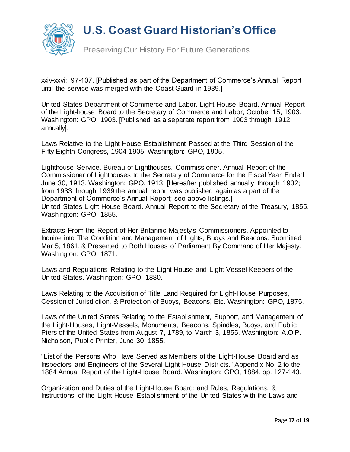

Preserving Our History For Future Generations

xxiv-xxvi; 97-107. [Published as part of the Department of Commerce's Annual Report until the service was merged with the Coast Guard in 1939.]

United States Department of Commerce and Labor. Light-House Board. Annual Report of the Light-house Board to the Secretary of Commerce and Labor, October 15, 1903. Washington: GPO, 1903. [Published as a separate report from 1903 through 1912 annually].

Laws Relative to the Light-House Establishment Passed at the Third Session of the Fifty-Eighth Congress, 1904-1905. Washington: GPO, 1905.

Lighthouse Service. Bureau of Lighthouses. Commissioner. Annual Report of the Commissioner of Lighthouses to the Secretary of Commerce for the Fiscal Year Ended June 30, 1913. Washington: GPO, 1913. [Hereafter published annually through 1932; from 1933 through 1939 the annual report was published again as a part of the Department of Commerce's Annual Report; see above listings.] United States Light-House Board. Annual Report to the Secretary of the Treasury, 1855. Washington: GPO, 1855.

Extracts From the Report of Her Britannic Majesty's Commissioners, Appointed to Inquire into The Condition and Management of Lights, Buoys and Beacons. Submitted Mar 5, 1861, & Presented to Both Houses of Parliament By Command of Her Majesty. Washington: GPO, 1871.

Laws and Regulations Relating to the Light-House and Light-Vessel Keepers of the United States. Washington: GPO, 1880.

Laws Relating to the Acquisition of Title Land Required for Light-House Purposes, Cession of Jurisdiction, & Protection of Buoys, Beacons, Etc. Washington: GPO, 1875.

Laws of the United States Relating to the Establishment, Support, and Management of the Light-Houses, Light-Vessels, Monuments, Beacons, Spindles, Buoys, and Public Piers of the United States from August 7, 1789, to March 3, 1855. Washington: A.O.P. Nicholson, Public Printer, June 30, 1855.

"List of the Persons Who Have Served as Members of the Light-House Board and as Inspectors and Engineers of the Several Light-House Districts." Appendix No. 2 to the 1884 Annual Report of the Light-House Board. Washington: GPO, 1884, pp. 127-143.

Organization and Duties of the Light-House Board; and Rules, Regulations, & Instructions of the Light-House Establishment of the United States with the Laws and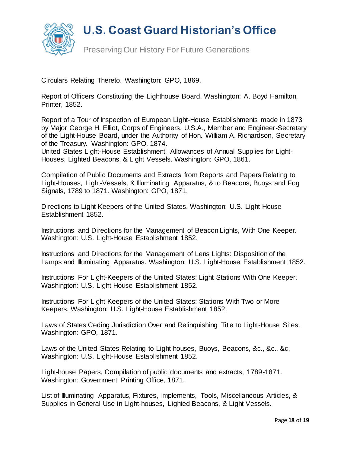

Preserving Our History For Future Generations

Circulars Relating Thereto. Washington: GPO, 1869.

Report of Officers Constituting the Lighthouse Board. Washington: A. Boyd Hamilton, Printer, 1852.

Report of a Tour of Inspection of European Light-House Establishments made in 1873 by Major George H. Elliot, Corps of Engineers, U.S.A., Member and Engineer-Secretary of the Light-House Board, under the Authority of Hon. William A. Richardson, Secretary of the Treasury. Washington: GPO, 1874.

United States Light-House Establishment. Allowances of Annual Supplies for Light-Houses, Lighted Beacons, & Light Vessels. Washington: GPO, 1861.

Compilation of Public Documents and Extracts from Reports and Papers Relating to Light-Houses, Light-Vessels, & Illuminating Apparatus, & to Beacons, Buoys and Fog Signals, 1789 to 1871. Washington: GPO, 1871.

Directions to Light-Keepers of the United States. Washington: U.S. Light-House Establishment 1852.

Instructions and Directions for the Management of Beacon Lights, With One Keeper. Washington: U.S. Light-House Establishment 1852.

Instructions and Directions for the Management of Lens Lights: Disposition of the Lamps and Illuminating Apparatus. Washington: U.S. Light-House Establishment 1852.

Instructions For Light-Keepers of the United States: Light Stations With One Keeper. Washington: U.S. Light-House Establishment 1852.

Instructions For Light-Keepers of the United States: Stations With Two or More Keepers. Washington: U.S. Light-House Establishment 1852.

Laws of States Ceding Jurisdiction Over and Relinquishing Title to Light-House Sites. Washington: GPO, 1871.

Laws of the United States Relating to Light-houses, Buoys, Beacons, &c., &c., &c. Washington: U.S. Light-House Establishment 1852.

Light-house Papers, Compilation of public documents and extracts, 1789-1871. Washington: Government Printing Office, 1871.

List of Illuminating Apparatus, Fixtures, Implements, Tools, Miscellaneous Articles, & Supplies in General Use in Light-houses, Lighted Beacons, & Light Vessels.